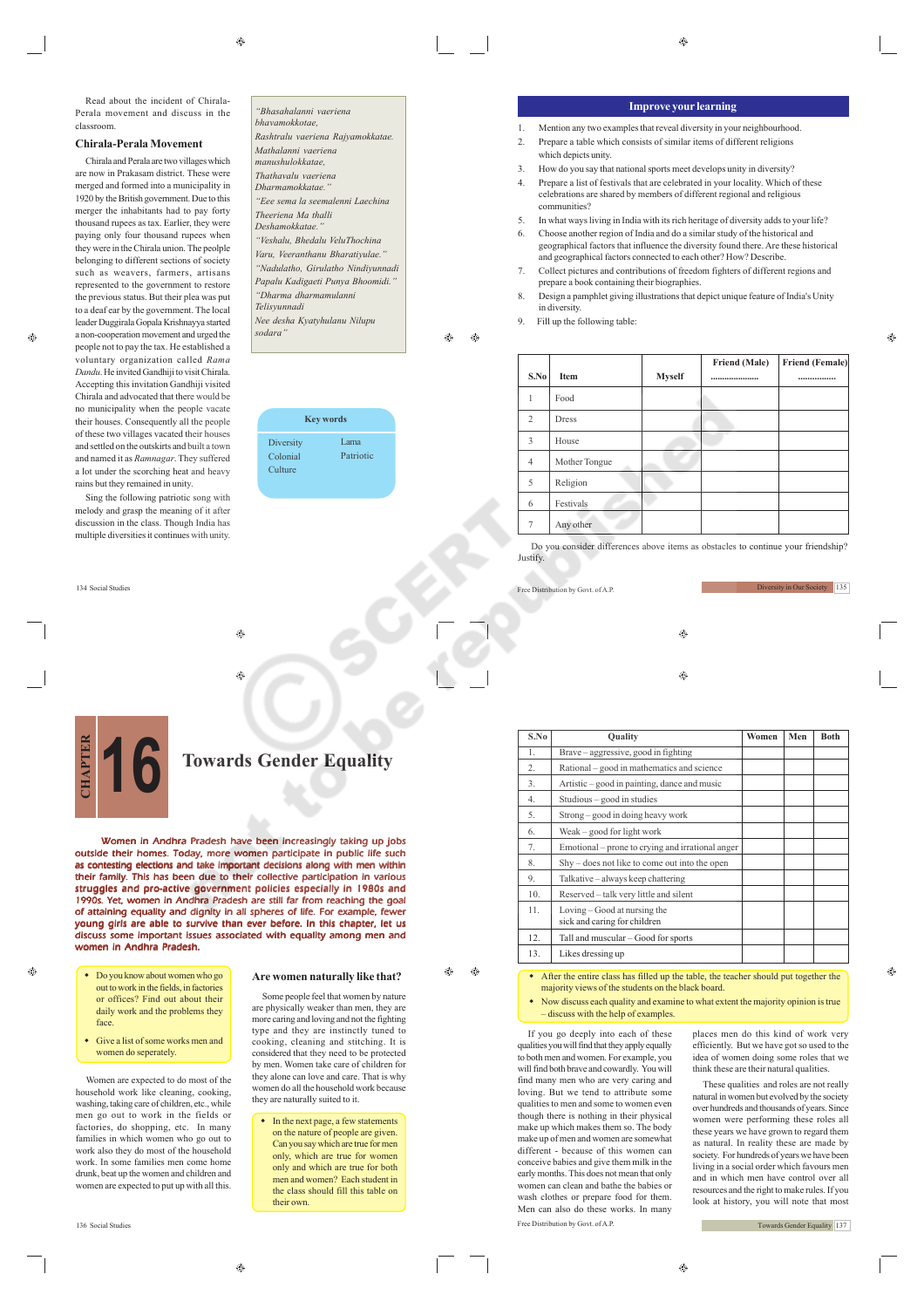⊕

Read about the incident of Chirala-Perala movement and discuss in the classroom.

# **Chirala-Perala Movement**

Chirala and Perala are two villages which are now in Prakasam district. These were merged and formed into a municipality in 1920 by the British government. Due to this merger the inhabitants had to pay forty thousand rupees as tax. Earlier, they were paying only four thousand rupees when they were in the Chirala union. The peolple belonging to different sections of society such as weavers, farmers, artisans represented to the government to restore the previous status. But their plea was put to a deaf ear by the government. The local leader Duggirala Gopala Krishnayya started a non-cooperation movement and urged the *Dandu*. He invited Gandhiji to visit Chirala. Chirala and advocated that there would be no municipality when the people vacate of these two villages vacated their houses

people not to pay the tax. He established a voluntary organization called *Rama* Accepting this invitation Gandhiji visited their houses. Consequently all the people and settled on the outskirts and built a town and named it as *Ramnagar*. They suffered a lot under the scorching heat and heavy rains but they remained in unity.

Sing the following patriotic song with melody and grasp the meaning of it after discussion in the class. Though India has multiple diversities it continues with unity.

134 Social Studies

*"Bhasahalanni vaeriena bhavamokkotae, Rashtralu vaeriena Rajyamokkatae. Mathalanni vaeriena manushulokkatae, Thathavalu vaeriena Dharmamokkatae." "Eee sema la seemalenni Laechina Theeriena Ma thalli Deshamokkatae." "Veshalu, Bhedalu VeluThochina Varu, Veeranthanu Bharatiyulae." "Nadulatho, Girulatho Nindiyunnadi Papalu Kadigaeti Punya Bhoomidi." "Dharma dharmamulanni*

*Nee desha Kyatyhulanu Nilupu*

*Telisyunnadi*

*sodara"*

**Key words Diversity** Colonial **Culture** Lama Patriotic

# **Improve your learning**

 $\hat{c}$ 

- 1. Mention any two examples that reveal diversity in your neighbourhood. 2. Prepare a table which consists of similar items of different religions which depicts unity.
- 3. How do you say that national sports meet develops unity in diversity?
- 4. Prepare a list of festivals that are celebrated in your locality. Which of these celebrations are shared by members of different regional and religious communities?
- 5. In what ways living in India with its rich heritage of diversity adds to your life? 6. Choose another region of India and do a similar study of the historical and geographical factors that influence the diversity found there. Are these historical and geographical factors connected to each other? How? Describe
- 7. Collect pictures and contributions of freedom fighters of different regions and prepare a book containing their biographies.
- 8. Design a pamphlet giving illustrations that depict unique feature of India's Unity in diversity.
- Fill up the following table:

ΔÑ  $\bigoplus$ 

Free Distribution by Govt. of A.P.

| S.No           | Item          | <b>Myself</b> | Friend (Male)<br> | <b>Friend (Female)</b><br> |
|----------------|---------------|---------------|-------------------|----------------------------|
| 1              | Food          |               |                   |                            |
| $\overline{2}$ | Dress         |               |                   |                            |
| 3              | House         |               |                   |                            |
| $\overline{4}$ | Mother Tongue |               |                   |                            |
| 5              | Religion      |               |                   |                            |
| 6              | Festivals     |               |                   |                            |
| 7              | Any other     |               |                   |                            |

 Do you consider differences above items as obstacles to continue your friendship? **Justify** 

 $\circledast$ 

 $\bigcirc$ 

**S.No** Quality **Quality Women Men** Both

1. Brave – aggressive, good in fighting 2. Rational – good in mathematics and science 3. Artistic – good in painting, dance and music

5. Strong – good in doing heavy work

4. Studious – good in studies

6. Weak – good for light work



**Towards Gender Equality** 

Women in Andhra Pradesh have been increasingly taking up jobs outside their homes. Today, more women participate in public life such as contesting elections and take important decisions along with men within their family. This has been due to their collective participation in various struggles and pro-active government policies especially in 1980s and 1990s. Yet, women in Andhra Pradesh are still far from reaching the goal of attaining equality and dignity in all spheres of life. For example, fewer young girls are able to survive than ever before. In this chapter, let us discuss some important issues associated with equality among men and women in Andhra Pradesh.

 $\qquad \qquad \textcircled{\scriptsize{9}}$ 

۵

- Do you know about women who go out to work in the fields, in factories or offices? Find out about their daily work and the problems they face.
- Give a list of some works men and women do seperately.

Women are expected to do most of the household work like cleaning, cooking, washing, taking care of children, etc., while men go out to work in the fields or factories, do shopping, etc. In many families in which women who go out to work also they do most of the household work. In some families men come home drunk, beat up the women and children and women are expected to put up with all this.

**Are women naturally like that?**

Some people feel that women by nature are physically weaker than men, they are more caring and loving and not the fighting type and they are instinctly tuned to cooking, cleaning and stitching. It is considered that they need to be protected by men. Women take care of children for they alone can love and care. That is why women do all the household work because they are naturally suited to it.

• In the next page, a few statements on the nature of people are given. Can you say which are true for men only, which are true for women only and which are true for both men and women? Each student in the class should fill this table on their own.

۵ Æ۵

 After the entire class has filled up the table, the teacher should put together the majority views of the students on the black board. 13. Likes dressing up

Emotional – prone to crying and irrational anger 8. Shy – does not like to come out into the open 9. Talkative – always keep chattering 10. Reserved – talk very little and silent 11. Loving – Good at nursing the sick and caring for children 12. Tall and muscular – Good for sports

 Now discuss each quality and examine to what extent the majority opinion is true – discuss with the help of examples.

If you go deeply into each of these qualities you will find that they apply equally to both men and women. For example, you will find both brave and cowardly. You will find many men who are very caring and loving. But we tend to attribute some qualities to men and some to women even though there is nothing in their physical make up which makes them so. The body make up of men and women are somewhat different - because of this women can conceive babies and give them milk in the early months. This does not mean that only women can clean and bathe the babies or wash clothes or prepare food for them. Men can also do these works. In many

places men do this kind of work very efficiently. But we have got so used to the idea of women doing some roles that we think these are their natural qualities.

These qualities and roles are not really natural in women but evolved by the society over hundreds and thousands of years. Since women were performing these roles all these years we have grown to regard them as natural. In reality these are made by society. For hundreds of years we have been living in a social order which favours men and in which men have control over all resources and the right to make rules. If you look at history, you will note that most

Towards Gender Equality 137

Ô.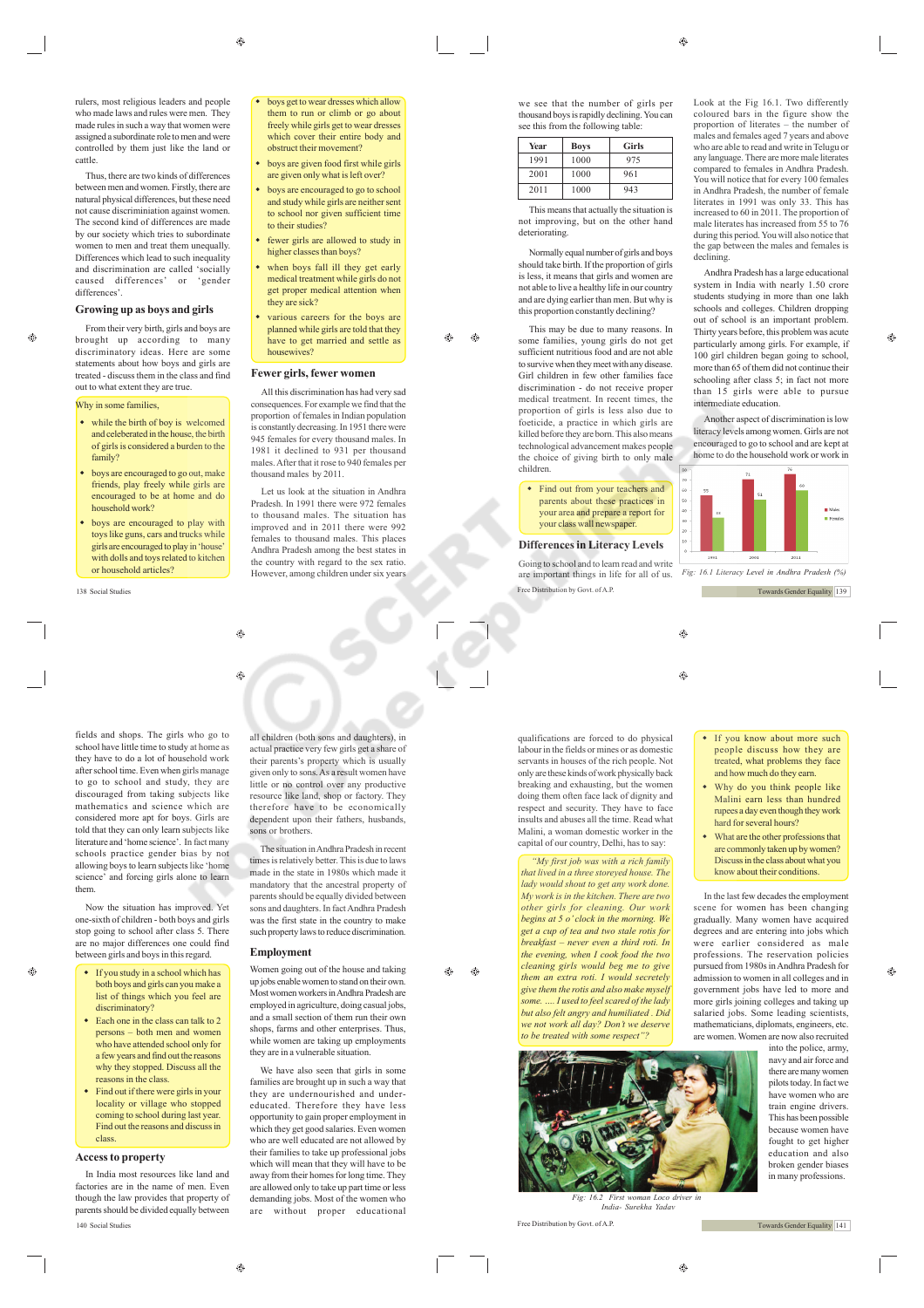Thus, there are two kinds of differences between men and women. Firstly, there are natural physical differences, but these need not cause discriminiation against women. The second kind of differences are made by our society which tries to subordinate women to men and treat them unequally Differences which lead to such inequality and discrimination are called 'socially caused differences' or 'gender differences

#### **Growing up as boys and girls**

Ø.

From their very birth, girls and boys are brought up according to many discriminatory ideas. Here are some statements about how boys and girls are treated - discuss them in the class and find out to what extent they are true.

# Why in some families

- while the birth of boy is welcomed and celeberated in the house, the birth of girls is considered a burden to the family?
- boys are encouraged to go out, make friends, play freely while girls are encouraged to be at home and do household work?
- boys are encouraged to play with toys like guns, cars and trucks while girls are encouraged to play in 'house' with dolls and toys related to kitchen or household articles?

fields and shops. The girls who go to school have little time to study at home as they have to do a lot of household work after school time. Even when girls manage to go to school and study, they are discouraged from taking subjects like mathematics and science which are considered more apt for boys. Girls are told that they can only learn subjects like literature and 'home science'. In fact many schools practice gender bias by not allowing boys to learn subjects like 'home science' and forcing girls alone to learn them.

Now the situation has improved. Yet one-sixth of children - both boys and girls stop going to school after class 5. There are no major differences one could find between girls and boys in this regard.

- If you study in a school which has both boys and girls can you make a list of things which you feel are discriminatory?
- Each one in the class can talk to 2 persons – both men and women who have attended school only for a few years and find out the reasons why they stopped. Discuss all the reasons in the class.
- $\bullet$  Find out if there were girls in your locality or village who stopped coming to school during last year. Find out the reasons and discuss in class.

#### **Access to property**

 $\oplus$ 

In India most resources like land and factories are in the name of men. Even though the law provides that property of parents should be divided equally between 140 Social Studies Free Distribution by Govt. of A.P.

 boys get to wear dresses which allow them to run or climb or go about freely while girls get to wear dresses which cover their entire body and obstruct their movement?

- boys are given food first while girls are given only what is left over?
- boys are encouraged to go to school and study while girls are neither sent to school nor given sufficient time to their studies?
- fewer girls are allowed to study in higher classes than boys?
- when boys fall ill they get early medical treatment while girls do not get proper medical attention when they are sick? • various careers for the boys are

**Fewer girls, fewer women** All this discrimination has had very sad consequences. For example we find that the proportion of females in Indian population is constantly decreasing. In 1951 there were 945 females for every thousand males. In 1981 it declined to 931 per thousand males. After that it rose to 940 females per

housewives?

thousand males by 2011.

planned while girls are told that they have to get married and settle as

Let us look at the situation in Andhra Pradesh. In 1991 there were 972 females to thousand males. The situation has improved and in 2011 there were 992 females to thousand males. This places Andhra Pradesh among the best states in the country with regard to the sex ratio. However, among children under six years

all children (both sons and daughters), in actual practice very few girls get a share of their parents's property which is usually given only to sons. As a result women have little or no control over any productive resource like land, shop or factory. They therefore have to be economically dependent upon their fathers, husbands,

The situation in Andhra Pradesh in recent times is relatively better. This is due to laws made in the state in 1980s which made it mandatory that the ancestral property of parents should be equally divided between sons and daughters. In fact Andhra Pradesh was the first state in the country to make such property laws to reduce discrimination.

Women going out of the house and taking up jobs enable women to stand on their own. Most women workers in Andhra Pradesh are employed in agriculture, doing casual jobs, and a small section of them run their own shops, farms and other enterprises. Thus, while women are taking up employments they are in a vulnerable situation. We have also seen that girls in some families are brought up in such a way that they are undernourished and undereducated. Therefore they have less opportunity to gain proper employment in which they get good salaries. Even women who are well educated are not allowed by their families to take up professional jobs which will mean that they will have to be away from their homes for long time. They are allowed only to take up part time or less demanding jobs. Most of the women who<br>are without proper educational without proper educational

Æ۵ ⊕

sons or brothers.

⊕

**Employment**

ക

 $\bigoplus$ 

 $\hat{c}$ 

we see that the number of girls per thousand boys is rapidly declining. You can see this from the following table.

| Year | <b>Boys</b> | Girls                    |
|------|-------------|--------------------------|
| 1991 | 1000        | 975                      |
| 2001 | 1000        | 961                      |
| 2011 | 1000        | 943                      |
|      | $\sim$      | . .<br><b>CONTRACTOR</b> |

This means that actually the situation is not improving, but on the other hand deteriorating.

Normally equal number of girls and boys should take birth. If the proportion of girls is less, it means that girls and women are not able to live a healthy life in our country and are dying earlier than men. But why is this proportion constantly declining?

This may be due to many reasons. In some families, young girls do not get sufficient nutritious food and are not able to survive when they meet with any disease. Girl children in few other families face discrimination - do not receive proper medical treatment. In recent times, the proportion of girls is less also due to foeticide, a practice in which girls are killed before they are born. This also means technological advancement makes people the choice of giving birth to only male children.

### • Find out from your teachers and parents about these practices in your area and prepare a report for your class wall newspaper.

# **Differences in Literacy Levels**

138 Social Studies Free Distribution by Govt. of A.P. Going to school and to learn read and write are important things in life for all of us.

Look at the Fig 16.1. Two differently coloured bars in the figure show the proportion of literates – the number of males and females aged 7 years and above who are able to read and write in Telugu or any language. There are more male literates compared to females in Andhra Pradesh. You will notice that for every 100 females in Andhra Pradesh, the number of female literates in 1991 was only 33. This has increased to 60 in 2011. The proportion of male literates has increased from 55 to 76 during this period. You will also notice that the gap between the males and females is declining.

Andhra Pradesh has a large educational system in India with nearly 1.50 crore students studying in more than one lakh schools and colleges. Children dropping out of school is an important problem. Thirty years before, this problem was acute particularly among girls. For example, if 100 girl children began going to school, more than 65 of them did not continue their schooling after class 5; in fact not more than 15 girls were able to pursue intermediate education.

Another aspect of discrimination is low literacy levels among women. Girls are not encouraged to go to school and are kept at home to do the household work or work in



*Fig: 16.1 Literacy Level in Andhra Pradesh (%)*

Towards Gender Equality 139

۳  $\bigcirc$ 

qualifications are forced to do physical labour in the fields or mines or as domestic servants in houses of the rich people. Not only are these kinds of work physically back breaking and exhausting, but the women doing them often face lack of dignity and respect and security. They have to face insults and abuses all the time. Read what Malini, a woman domestic worker in the capital of our country, Delhi, has to say:

*"My first job was with a rich family that lived in a three storeyed house. The lady would shout to get any work done. My work is in the kitchen. There are two other girls for cleaning. Our work begins at 5 o' clock in the morning. We get a cup of tea and two stale rotis for breakfast – never even a third roti. In the evening, when I cook food the two cleaning girls would beg me to give them an extra roti. I would secretely give them the rotis and also make myself some. …. I used to feel scared of the lady but also felt angry and humiliated . Did we not work all day? Don't we deserve to be treated with some respect* 



*Fig: 16.2 First woman Loco driver in India- Surekha Yadav*

• If you know about more such people discuss how they are treated, what problems they face and how much do they earn.

- Why do you think people like Malini earn less than hundred rupees a day even though they work hard for several hours?
- What are the other professions that are commonly taken up by women? Discuss in the class about what you know about their conditions.

In the last few decades the employment scene for women has been changing gradually. Many women have acquired degrees and are entering into jobs which were earlier considered as male professions. The reservation policies pursued from 1980s in Andhra Pradesh for admission to women in all colleges and in government jobs have led to more and more girls joining colleges and taking up salaried jobs. Some leading scientists, mathematicians, diplomats, engineers, etc. are women. Women are now also recruited

into the police, army, navy and air force and there are many women pilots today. In fact we have women who are train engine drivers. This has been possible because women have fought to get higher education and also broken gender biases in many professions.